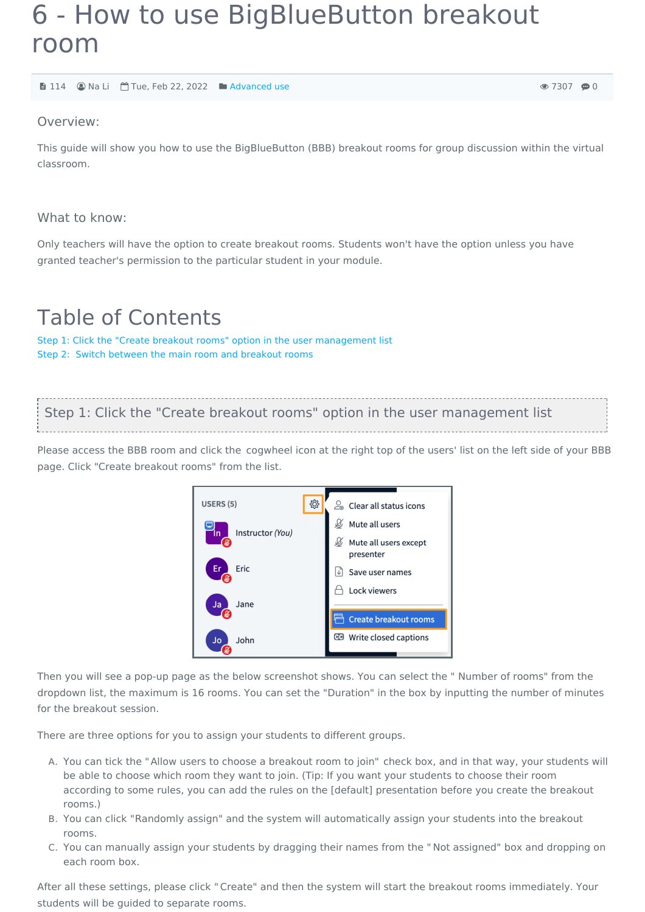# 6 - How to use BigBlueButton breakout room

114 Na Li Tue, Feb 22, 2022 [Advanced](https://knowledgebase.xjtlu.edu.cn/category/bigbluebutton/guide-for-staff/advanced-use/66/) use

 $① 7307 ⑤0$ 

### Overview:

This guide will show you how to use the BigBlueButton (BBB) breakout rooms for group discussion within the virtual classroom.

### What to know:

Only teachers will have the option to create breakout rooms. Students won't have the option unless you have granted teacher's permission to the particular student in your module.

# Table of Contents

Step 1: Click the "Create breakout rooms" option in the user [management](#page-0-0) list Step 2: Switch between the main room and [breakout](#page-1-0) rooms

<span id="page-0-0"></span>Step 1: Click the "Create breakout rooms" option in the user management list

Please access the BBB room and click the cogwheel icon at the right top of the users' list on the left side of your BBB page. Click "Create breakout rooms" from the list.



Then you will see a pop-up page as the below screenshot shows. You can select the " Number of rooms" from the dropdown list, the maximum is 16 rooms. You can set the "Duration" in the box by inputting the number of minutes for the breakout session.

There are three options for you to assign your students to different groups.

- A. You can tick the "Allow users to choose a breakout room to join" check box, and in that way, your students will be able to choose which room they want to join. (Tip: If you want your students to choose their room according to some rules, you can add the rules on the [default] presentation before you create the breakout rooms.)
- B. You can click "Randomly assign" and the system will automatically assign your students into the breakout rooms.
- C. You can manually assign your students by dragging their names from the " Not assigned" box and dropping on each room box.

After all these settings, please click "Create" and then the system will start the breakout rooms immediately. Your students will be guided to separate rooms.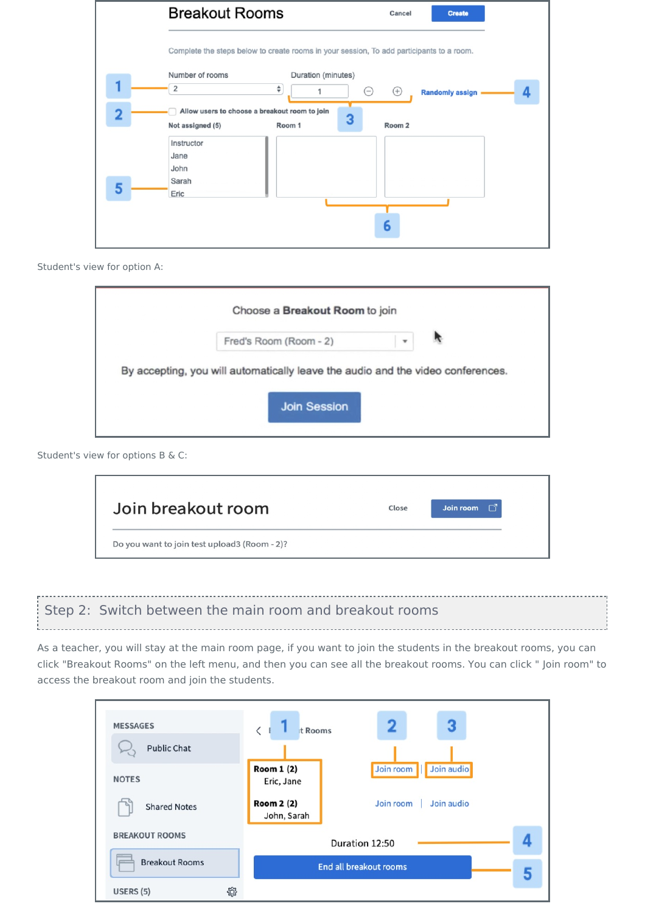|                         | <b>Breakout Rooms</b><br>Cancel<br><b>Create</b>                                                      |
|-------------------------|-------------------------------------------------------------------------------------------------------|
|                         | Complete the steps below to create rooms in your session, To add participants to a room.              |
|                         | Number of rooms<br>Duration (minutes)<br>÷<br>2<br>$^{(+)}$<br>$(-)$<br><b>Randomly assign</b>        |
| $\overline{\mathbf{2}}$ | Allow users to choose a breakout room to join<br>3<br>Room 1<br>Room <sub>2</sub><br>Not assigned (5) |
|                         | Instructor<br>Jane                                                                                    |
| 5                       | John<br>Sarah<br>Eric                                                                                 |
|                         |                                                                                                       |
|                         | 6                                                                                                     |

#### Student's view for option A:

| Choose a Breakout Room to join                                                  |              |  |
|---------------------------------------------------------------------------------|--------------|--|
| Fred's Room (Room - 2)                                                          | $\mathbf{v}$ |  |
|                                                                                 |              |  |
|                                                                                 |              |  |
| By accepting, you will automatically leave the audio and the video conferences. |              |  |
|                                                                                 |              |  |
| <b>Join Session</b>                                                             |              |  |

### Student's view for options B & C:

| Join breakout room | Close | Γĩ<br>Join room |
|--------------------|-------|-----------------|
|                    |       |                 |

## <span id="page-1-0"></span>Step 2: Switch between the main room and breakout rooms

As a teacher, you will stay at the main room page, if you want to join the students in the breakout rooms, you can click "Breakout Rooms" on the left menu, and then you can see all the breakout rooms. You can click " Join room" to access the breakout room and join the students.